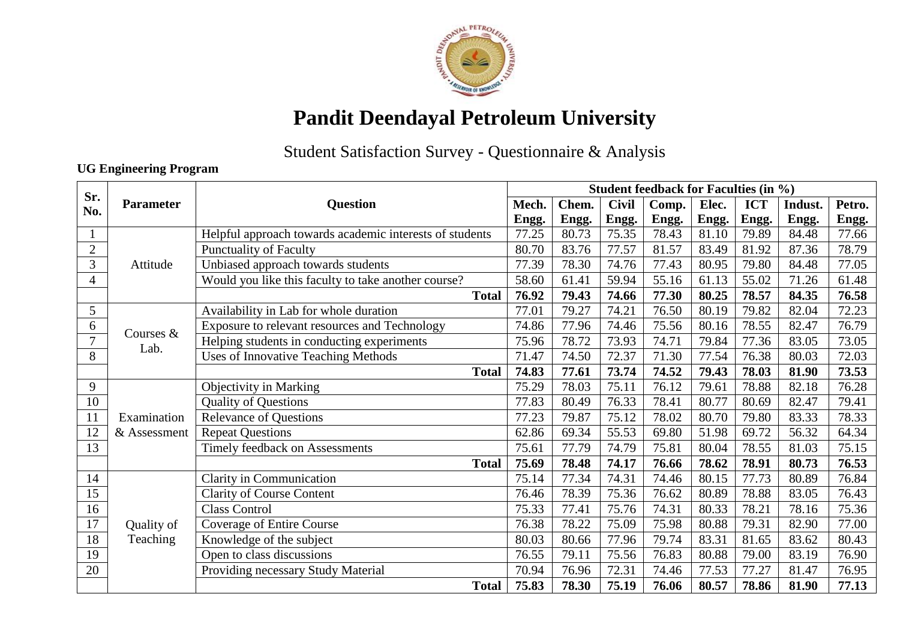

# **Pandit Deendayal Petroleum University**

# Student Satisfaction Survey - Questionnaire & Analysis

#### **UG Engineering Program**

| Sr.            |                        | <b>Question</b>                                         | <b>Student feedback for Faculties (in %)</b> |       |              |       |       |            |         |        |
|----------------|------------------------|---------------------------------------------------------|----------------------------------------------|-------|--------------|-------|-------|------------|---------|--------|
| No.            | <b>Parameter</b>       |                                                         | Mech.                                        | Chem. | <b>Civil</b> | Comp. | Elec. | <b>ICT</b> | Indust. | Petro. |
|                |                        |                                                         |                                              | Engg. | Engg.        | Engg. | Engg. | Engg.      | Engg.   | Engg.  |
|                |                        | Helpful approach towards academic interests of students | 77.25                                        | 80.73 | 75.35        | 78.43 | 81.10 | 79.89      | 84.48   | 77.66  |
| $\overline{2}$ |                        | <b>Punctuality of Faculty</b>                           | 80.70                                        | 83.76 | 77.57        | 81.57 | 83.49 | 81.92      | 87.36   | 78.79  |
| $\mathfrak{Z}$ | Attitude               | Unbiased approach towards students                      | 77.39                                        | 78.30 | 74.76        | 77.43 | 80.95 | 79.80      | 84.48   | 77.05  |
| 4              |                        | Would you like this faculty to take another course?     | 58.60                                        | 61.41 | 59.94        | 55.16 | 61.13 | 55.02      | 71.26   | 61.48  |
|                |                        | <b>Total</b>                                            | 76.92                                        | 79.43 | 74.66        | 77.30 | 80.25 | 78.57      | 84.35   | 76.58  |
| 5              |                        | Availability in Lab for whole duration                  | 77.01                                        | 79.27 | 74.21        | 76.50 | 80.19 | 79.82      | 82.04   | 72.23  |
| 6              | Courses &              | Exposure to relevant resources and Technology           | 74.86                                        | 77.96 | 74.46        | 75.56 | 80.16 | 78.55      | 82.47   | 76.79  |
| $\tau$         | Lab.                   | Helping students in conducting experiments              | 75.96                                        | 78.72 | 73.93        | 74.71 | 79.84 | 77.36      | 83.05   | 73.05  |
| 8              |                        | <b>Uses of Innovative Teaching Methods</b>              | 71.47                                        | 74.50 | 72.37        | 71.30 | 77.54 | 76.38      | 80.03   | 72.03  |
|                |                        | <b>Total</b>                                            | 74.83                                        | 77.61 | 73.74        | 74.52 | 79.43 | 78.03      | 81.90   | 73.53  |
| 9              |                        | Objectivity in Marking                                  | 75.29                                        | 78.03 | 75.11        | 76.12 | 79.61 | 78.88      | 82.18   | 76.28  |
| 10             |                        | <b>Quality of Questions</b>                             | 77.83                                        | 80.49 | 76.33        | 78.41 | 80.77 | 80.69      | 82.47   | 79.41  |
| 11             | Examination            | <b>Relevance of Questions</b>                           | 77.23                                        | 79.87 | 75.12        | 78.02 | 80.70 | 79.80      | 83.33   | 78.33  |
| 12             | & Assessment           | <b>Repeat Questions</b>                                 | 62.86                                        | 69.34 | 55.53        | 69.80 | 51.98 | 69.72      | 56.32   | 64.34  |
| 13             |                        | Timely feedback on Assessments                          | 75.61                                        | 77.79 | 74.79        | 75.81 | 80.04 | 78.55      | 81.03   | 75.15  |
|                |                        | <b>Total</b>                                            | 75.69                                        | 78.48 | 74.17        | 76.66 | 78.62 | 78.91      | 80.73   | 76.53  |
| 14             |                        | <b>Clarity in Communication</b>                         | 75.14                                        | 77.34 | 74.31        | 74.46 | 80.15 | 77.73      | 80.89   | 76.84  |
| 15             | Quality of<br>Teaching | <b>Clarity of Course Content</b>                        | 76.46                                        | 78.39 | 75.36        | 76.62 | 80.89 | 78.88      | 83.05   | 76.43  |
| 16             |                        | <b>Class Control</b>                                    | 75.33                                        | 77.41 | 75.76        | 74.31 | 80.33 | 78.21      | 78.16   | 75.36  |
| 17             |                        | <b>Coverage of Entire Course</b>                        | 76.38                                        | 78.22 | 75.09        | 75.98 | 80.88 | 79.31      | 82.90   | 77.00  |
| 18             |                        | Knowledge of the subject                                | 80.03                                        | 80.66 | 77.96        | 79.74 | 83.31 | 81.65      | 83.62   | 80.43  |
| 19             |                        | Open to class discussions                               | 76.55                                        | 79.11 | 75.56        | 76.83 | 80.88 | 79.00      | 83.19   | 76.90  |
| 20             |                        | Providing necessary Study Material                      | 70.94                                        | 76.96 | 72.31        | 74.46 | 77.53 | 77.27      | 81.47   | 76.95  |
|                |                        | <b>Total</b>                                            | 75.83                                        | 78.30 | 75.19        | 76.06 | 80.57 | 78.86      | 81.90   | 77.13  |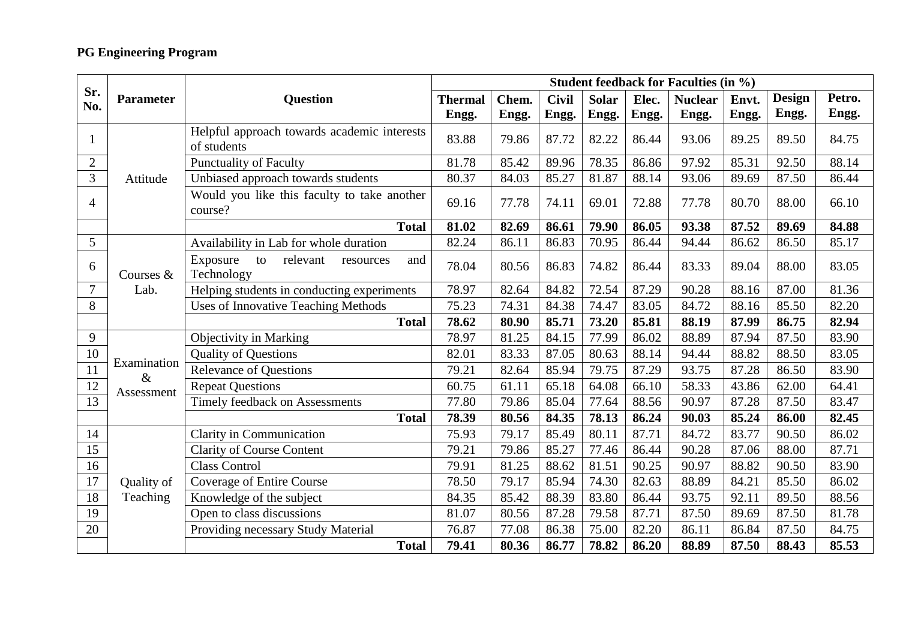## **PG Engineering Program**

|                 | Parameter              |                                                              | Student feedback for Faculties (in %) |                |                       |                       |                |                         |                |                        |                 |
|-----------------|------------------------|--------------------------------------------------------------|---------------------------------------|----------------|-----------------------|-----------------------|----------------|-------------------------|----------------|------------------------|-----------------|
| Sr.<br>No.      |                        | <b>Question</b>                                              | <b>Thermal</b><br>Engg.               | Chem.<br>Engg. | <b>Civil</b><br>Engg. | <b>Solar</b><br>Engg. | Elec.<br>Engg. | <b>Nuclear</b><br>Engg. | Envt.<br>Engg. | <b>Design</b><br>Engg. | Petro.<br>Engg. |
|                 |                        | Helpful approach towards academic interests<br>of students   | 83.88                                 | 79.86          | 87.72                 | 82.22                 | 86.44          | 93.06                   | 89.25          | 89.50                  | 84.75           |
| $\overline{2}$  |                        | <b>Punctuality of Faculty</b>                                | 81.78                                 | 85.42          | 89.96                 | 78.35                 | 86.86          | 97.92                   | 85.31          | 92.50                  | 88.14           |
| 3               | Attitude               | Unbiased approach towards students                           | 80.37                                 | 84.03          | 85.27                 | 81.87                 | 88.14          | 93.06                   | 89.69          | 87.50                  | 86.44           |
| 4               |                        | Would you like this faculty to take another<br>course?       | 69.16                                 | 77.78          | 74.11                 | 69.01                 | 72.88          | 77.78                   | 80.70          | 88.00                  | 66.10           |
|                 |                        | <b>Total</b>                                                 | 81.02                                 | 82.69          | 86.61                 | 79.90                 | 86.05          | 93.38                   | 87.52          | 89.69                  | 84.88           |
| 5               |                        | Availability in Lab for whole duration                       | 82.24                                 | 86.11          | 86.83                 | 70.95                 | 86.44          | 94.44                   | 86.62          | 86.50                  | 85.17           |
| 6               | Courses $&$            | Exposure<br>relevant<br>and<br>to<br>resources<br>Technology | 78.04                                 | 80.56          | 86.83                 | 74.82                 | 86.44          | 83.33                   | 89.04          | 88.00                  | 83.05           |
|                 | Lab.                   | Helping students in conducting experiments                   | 78.97                                 | 82.64          | 84.82                 | 72.54                 | 87.29          | 90.28                   | 88.16          | 87.00                  | 81.36           |
| 8               |                        | <b>Uses of Innovative Teaching Methods</b>                   | 75.23                                 | 74.31          | 84.38                 | 74.47                 | 83.05          | 84.72                   | 88.16          | 85.50                  | 82.20           |
|                 |                        | <b>Total</b>                                                 | 78.62                                 | 80.90          | 85.71                 | 73.20                 | 85.81          | 88.19                   | 87.99          | 86.75                  | 82.94           |
| 9               |                        | Objectivity in Marking                                       | 78.97                                 | 81.25          | 84.15                 | 77.99                 | 86.02          | 88.89                   | 87.94          | 87.50                  | 83.90           |
| 10              | Examination            | <b>Quality of Questions</b>                                  | 82.01                                 | 83.33          | 87.05                 | 80.63                 | 88.14          | 94.44                   | 88.82          | 88.50                  | 83.05           |
| $\overline{11}$ | $\&$                   | <b>Relevance of Questions</b>                                | 79.21                                 | 82.64          | 85.94                 | 79.75                 | 87.29          | 93.75                   | 87.28          | 86.50                  | 83.90           |
| 12              | Assessment             | <b>Repeat Questions</b>                                      | 60.75                                 | 61.11          | 65.18                 | 64.08                 | 66.10          | 58.33                   | 43.86          | 62.00                  | 64.41           |
| 13              |                        | Timely feedback on Assessments                               | 77.80                                 | 79.86          | 85.04                 | 77.64                 | 88.56          | 90.97                   | 87.28          | 87.50                  | 83.47           |
|                 |                        | <b>Total</b>                                                 | 78.39                                 | 80.56          | 84.35                 | 78.13                 | 86.24          | 90.03                   | 85.24          | 86.00                  | 82.45           |
| 14              |                        | <b>Clarity in Communication</b>                              | 75.93                                 | 79.17          | 85.49                 | 80.11                 | 87.71          | 84.72                   | 83.77          | 90.50                  | 86.02           |
| 15              | Quality of<br>Teaching | <b>Clarity of Course Content</b>                             | 79.21                                 | 79.86          | 85.27                 | 77.46                 | 86.44          | 90.28                   | 87.06          | 88.00                  | 87.71           |
| 16              |                        | <b>Class Control</b>                                         | 79.91                                 | 81.25          | 88.62                 | 81.51                 | 90.25          | 90.97                   | 88.82          | 90.50                  | 83.90           |
| 17              |                        | <b>Coverage of Entire Course</b>                             | 78.50                                 | 79.17          | 85.94                 | 74.30                 | 82.63          | 88.89                   | 84.21          | 85.50                  | 86.02           |
| 18              |                        | Knowledge of the subject                                     | 84.35                                 | 85.42          | 88.39                 | 83.80                 | 86.44          | 93.75                   | 92.11          | 89.50                  | 88.56           |
| 19              |                        | Open to class discussions                                    | 81.07                                 | 80.56          | 87.28                 | 79.58                 | 87.71          | 87.50                   | 89.69          | 87.50                  | 81.78           |
| 20              |                        | Providing necessary Study Material                           | 76.87                                 | 77.08          | 86.38                 | 75.00                 | 82.20          | 86.11                   | 86.84          | 87.50                  | 84.75           |
|                 |                        | <b>Total</b>                                                 | 79.41                                 | 80.36          | 86.77                 | 78.82                 | 86.20          | 88.89                   | 87.50          | 88.43                  | 85.53           |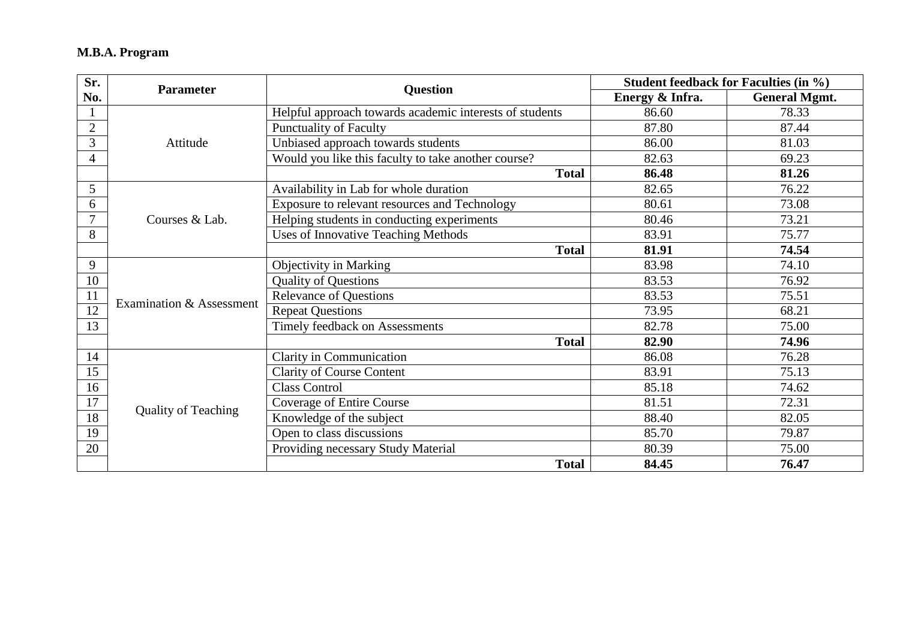#### **M.B.A. Program**

| Sr.            | <b>Parameter</b>           |                                                         | <b>Student feedback for Faculties (in %)</b> |                      |  |  |
|----------------|----------------------------|---------------------------------------------------------|----------------------------------------------|----------------------|--|--|
| No.            |                            | <b>Question</b>                                         | Energy & Infra.                              | <b>General Mgmt.</b> |  |  |
| $\mathbf{1}$   |                            | Helpful approach towards academic interests of students | 86.60                                        | 78.33                |  |  |
| $\overline{2}$ |                            | <b>Punctuality of Faculty</b>                           | 87.80                                        | 87.44                |  |  |
| $\overline{3}$ | Attitude                   | Unbiased approach towards students                      | 86.00                                        | 81.03                |  |  |
| $\overline{4}$ |                            | Would you like this faculty to take another course?     | 82.63                                        | 69.23                |  |  |
|                |                            | <b>Total</b>                                            | 86.48                                        | 81.26                |  |  |
| 5              |                            | Availability in Lab for whole duration                  | 82.65                                        | 76.22                |  |  |
| 6              |                            | Exposure to relevant resources and Technology           | 80.61                                        | 73.08                |  |  |
| $\overline{7}$ | Courses & Lab.             | Helping students in conducting experiments              | 80.46                                        | 73.21                |  |  |
| 8              |                            | <b>Uses of Innovative Teaching Methods</b>              | 83.91                                        | 75.77                |  |  |
|                |                            | <b>Total</b>                                            | 81.91                                        | 74.54                |  |  |
| 9              |                            | Objectivity in Marking                                  | 83.98                                        | 74.10                |  |  |
| 10             |                            | <b>Quality of Questions</b>                             | 83.53                                        | 76.92                |  |  |
| 11             | Examination & Assessment   | <b>Relevance of Questions</b>                           | 83.53                                        | 75.51                |  |  |
| 12             |                            | <b>Repeat Questions</b>                                 | 73.95                                        | 68.21                |  |  |
| 13             |                            | Timely feedback on Assessments                          | 82.78                                        | 75.00                |  |  |
|                |                            | <b>Total</b>                                            | 82.90                                        | 74.96                |  |  |
| 14             |                            | Clarity in Communication                                | 86.08                                        | 76.28                |  |  |
| 15             |                            | <b>Clarity of Course Content</b>                        | 83.91                                        | 75.13                |  |  |
| 16             |                            | <b>Class Control</b>                                    | 85.18                                        | 74.62                |  |  |
| 17             | <b>Quality of Teaching</b> | Coverage of Entire Course                               | 81.51                                        | 72.31                |  |  |
| 18             |                            | Knowledge of the subject                                | 88.40                                        | 82.05                |  |  |
| 19             |                            | Open to class discussions                               | 85.70                                        | 79.87                |  |  |
| 20             |                            | Providing necessary Study Material                      | 80.39                                        | 75.00                |  |  |
|                |                            | <b>Total</b>                                            | 84.45                                        | 76.47                |  |  |